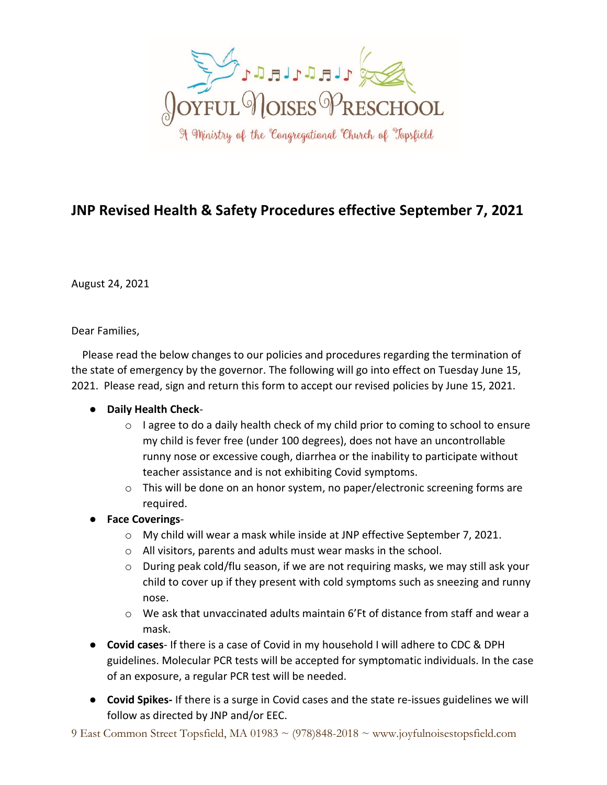

## **JNP Revised Health & Safety Procedures effective September 7, 2021**

August 24, 2021

Dear Families,

 Please read the below changes to our policies and procedures regarding the termination of the state of emergency by the governor. The following will go into effect on Tuesday June 15, 2021. Please read, sign and return this form to accept our revised policies by June 15, 2021.

## ● **Daily Health Check**-

- o I agree to do a daily health check of my child prior to coming to school to ensure my child is fever free (under 100 degrees), does not have an uncontrollable runny nose or excessive cough, diarrhea or the inability to participate without teacher assistance and is not exhibiting Covid symptoms.
- o This will be done on an honor system, no paper/electronic screening forms are required.
- **Face Coverings**
	- o My child will wear a mask while inside at JNP effective September 7, 2021.
	- o All visitors, parents and adults must wear masks in the school.
	- o During peak cold/flu season, if we are not requiring masks, we may still ask your child to cover up if they present with cold symptoms such as sneezing and runny nose.
	- $\circ$  We ask that unvaccinated adults maintain 6'Ft of distance from staff and wear a mask.
- **Covid cases** If there is a case of Covid in my household I will adhere to CDC & DPH guidelines. Molecular PCR tests will be accepted for symptomatic individuals. In the case of an exposure, a regular PCR test will be needed.
- **Covid Spikes-** If there is a surge in Covid cases and the state re-issues guidelines we will follow as directed by JNP and/or EEC.